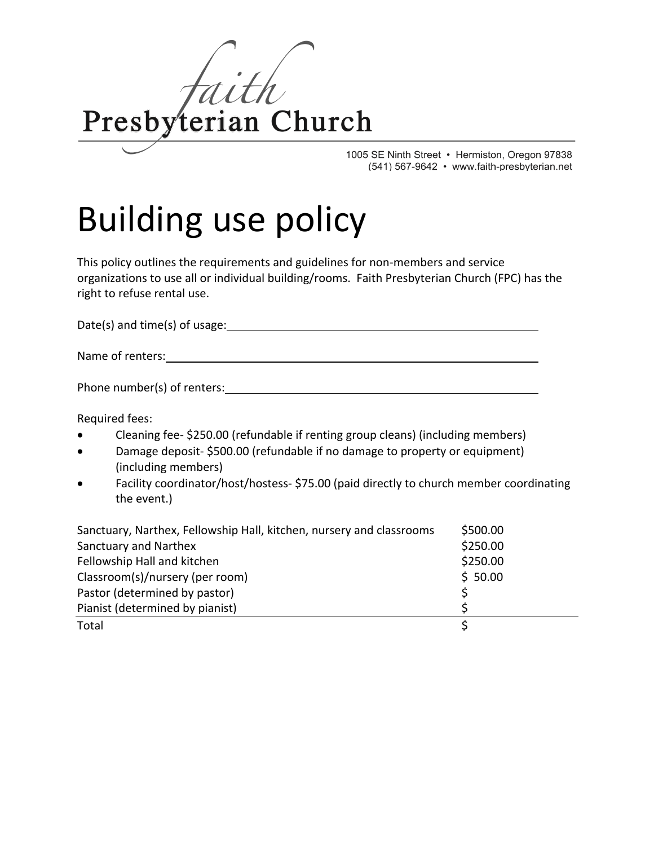

1005 SE Ninth Street • Hermiston, Oregon 97838 (541) 567-9642 • www.faith-presbyterian.net

## Building use policy

This policy outlines the requirements and guidelines for non-members and service organizations to use all or individual building/rooms. Faith Presbyterian Church (FPC) has the right to refuse rental use.

Date(s) and time(s) of usage: Date and time of the same state of the state of the state of the state of the state of the state of the state of the state of the state of the state of the state of the state of the state of t Name of renters: Sample 2021 and 2022 and 2022 and 2022 and 2022 and 2022 and 2022 and 2022 and 2022 and 2022 and 2022 and 2022 and 2022 and 2022 and 2022 and 2022 and 2022 and 2022 and 2022 and 2022 and 2022 and 2022 and Phone number(s) of renters: Notified that the state of the state of the state of the state of the state of the state of the state of the state of the state of the state of the state of the state of the state of the state o

Required fees:

- Cleaning fee- \$250.00 (refundable if renting group cleans) (including members)
- Damage deposit- \$500.00 (refundable if no damage to property or equipment) (including members)
- Facility coordinator/host/hostess- \$75.00 (paid directly to church member coordinating the event.)

| Sanctuary, Narthex, Fellowship Hall, kitchen, nursery and classrooms | \$500.00 |
|----------------------------------------------------------------------|----------|
| Sanctuary and Narthex                                                | \$250.00 |
| Fellowship Hall and kitchen                                          | \$250.00 |
| Classroom(s)/nursery (per room)                                      | \$50.00  |
| Pastor (determined by pastor)                                        |          |
| Pianist (determined by pianist)                                      |          |
| Total                                                                |          |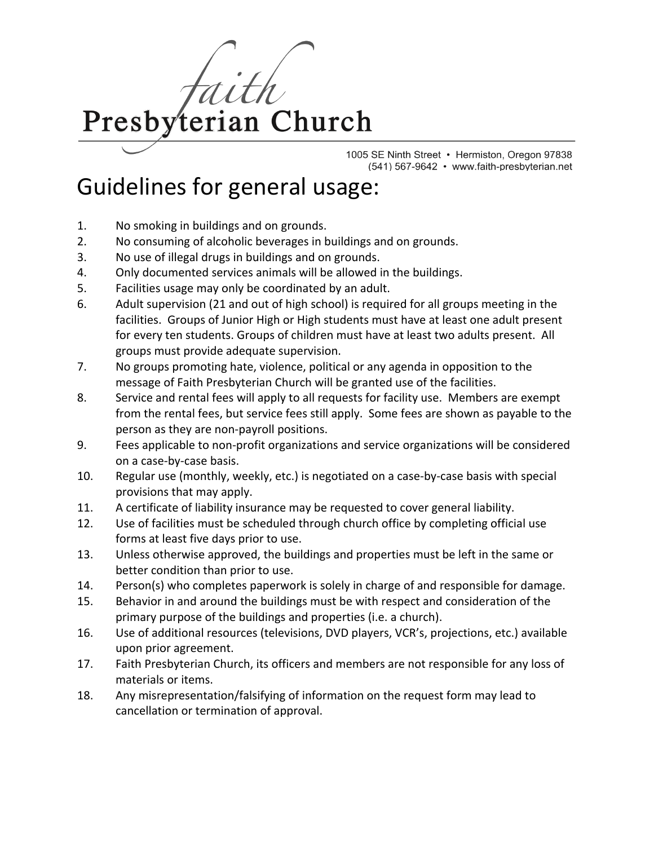terian Church Presby

> 1005 SE Ninth Street • Hermiston, Oregon 97838 (541) 567-9642 • www.faith-presbyterian.net

## Guidelines for general usage:

- 1. No smoking in buildings and on grounds.
- 2. No consuming of alcoholic beverages in buildings and on grounds.
- 3. No use of illegal drugs in buildings and on grounds.
- 4. Only documented services animals will be allowed in the buildings.
- 5. Facilities usage may only be coordinated by an adult.
- 6. Adult supervision (21 and out of high school) is required for all groups meeting in the facilities. Groups of Junior High or High students must have at least one adult present for every ten students. Groups of children must have at least two adults present. All groups must provide adequate supervision.
- 7. No groups promoting hate, violence, political or any agenda in opposition to the message of Faith Presbyterian Church will be granted use of the facilities.
- 8. Service and rental fees will apply to all requests for facility use. Members are exempt from the rental fees, but service fees still apply. Some fees are shown as payable to the person as they are non-payroll positions.
- 9. Fees applicable to non-profit organizations and service organizations will be considered on a case-by-case basis.
- 10. Regular use (monthly, weekly, etc.) is negotiated on a case-by-case basis with special provisions that may apply.
- 11. A certificate of liability insurance may be requested to cover general liability.
- 12. Use of facilities must be scheduled through church office by completing official use forms at least five days prior to use.
- 13. Unless otherwise approved, the buildings and properties must be left in the same or better condition than prior to use.
- 14. Person(s) who completes paperwork is solely in charge of and responsible for damage.
- 15. Behavior in and around the buildings must be with respect and consideration of the primary purpose of the buildings and properties (i.e. a church).
- 16. Use of additional resources (televisions, DVD players, VCR's, projections, etc.) available upon prior agreement.
- 17. Faith Presbyterian Church, its officers and members are not responsible for any loss of materials or items.
- 18. Any misrepresentation/falsifying of information on the request form may lead to cancellation or termination of approval.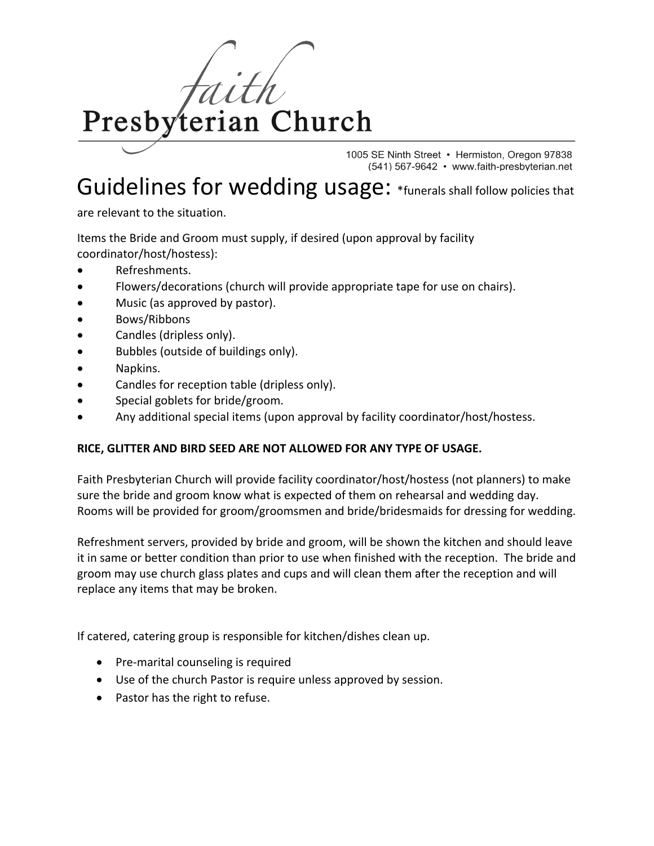

1005 SE Ninth Street • Hermiston, Oregon 97838 (541) 567-9642 • www.faith-presbyterian.net

## Guidelines for wedding usage: \*funerals shall follow policies that

are relevant to the situation.

Items the Bride and Groom must supply, if desired (upon approval by facility coordinator/host/hostess):

- Refreshments.
- Flowers/decorations (church will provide appropriate tape for use on chairs).
- Music (as approved by pastor).
- Bows/Ribbons
- Candles (dripless only).
- Bubbles (outside of buildings only).
- Napkins.
- Candles for reception table (dripless only).
- Special goblets for bride/groom.
- Any additional special items (upon approval by facility coordinator/host/hostess.

## **RICE, GLITTER AND BIRD SEED ARE NOT ALLOWED FOR ANY TYPE OF USAGE.**

Faith Presbyterian Church will provide facility coordinator/host/hostess (not planners) to make sure the bride and groom know what is expected of them on rehearsal and wedding day. Rooms will be provided for groom/groomsmen and bride/bridesmaids for dressing for wedding.

Refreshment servers, provided by bride and groom, will be shown the kitchen and should leave it in same or better condition than prior to use when finished with the reception. The bride and groom may use church glass plates and cups and will clean them after the reception and will replace any items that may be broken.

If catered, catering group is responsible for kitchen/dishes clean up.

- Pre-marital counseling is required
- Use of the church Pastor is require unless approved by session.
- Pastor has the right to refuse.